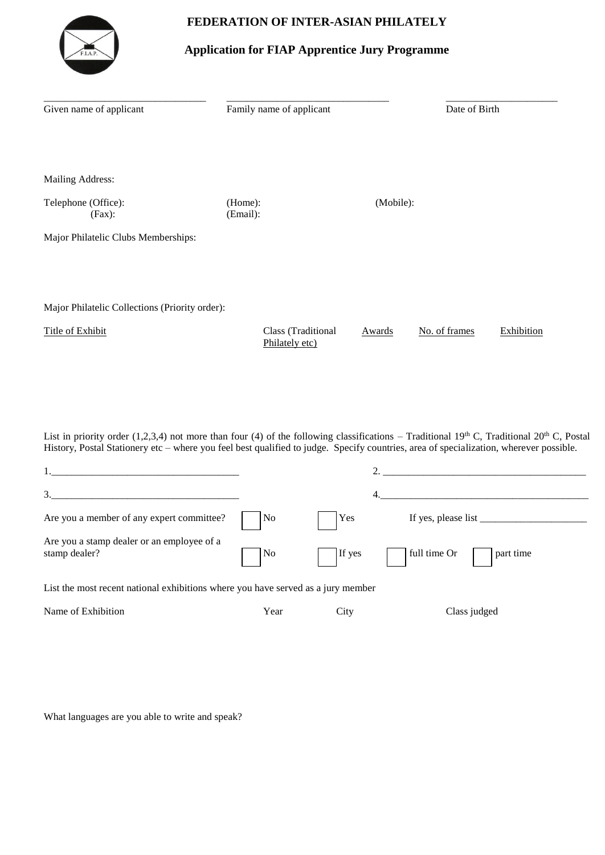## **FEDERATION OF INTER-ASIAN PHILATELY**



## **Application for FIAP Apprentice Jury Programme**

| Given name of applicant                        | Family name of applicant             |           | Date of Birth |            |  |
|------------------------------------------------|--------------------------------------|-----------|---------------|------------|--|
|                                                |                                      |           |               |            |  |
| Mailing Address:                               |                                      |           |               |            |  |
| Telephone (Office):<br>$(Fax)$ :               | (Home):<br>(Email):                  | (Mobile): |               |            |  |
| Major Philatelic Clubs Memberships:            |                                      |           |               |            |  |
|                                                |                                      |           |               |            |  |
| Major Philatelic Collections (Priority order): |                                      |           |               |            |  |
| Title of Exhibit                               | Class (Traditional<br>Philately etc) | Awards    | No. of frames | Exhibition |  |

List in priority order (1,2,3,4) not more than four (4) of the following classifications – Traditional 19<sup>th</sup> C, Traditional 20<sup>th</sup> C, Postal History, Postal Stationery etc – where you feel best qualified to judge. Specify countries, area of specialization, wherever possible.

| 3.                                                                               |                             |             |                                                                                                                                                                                                                                                                                                                                                                                                                                     |  |  |
|----------------------------------------------------------------------------------|-----------------------------|-------------|-------------------------------------------------------------------------------------------------------------------------------------------------------------------------------------------------------------------------------------------------------------------------------------------------------------------------------------------------------------------------------------------------------------------------------------|--|--|
| Are you a member of any expert committee?                                        | $\overline{\phantom{a}}$ No | $\vert$ Yes | If yes, please list $\frac{1}{\frac{1}{2} \cdot \frac{1}{2} \cdot \frac{1}{2} \cdot \frac{1}{2} \cdot \frac{1}{2} \cdot \frac{1}{2} \cdot \frac{1}{2} \cdot \frac{1}{2} \cdot \frac{1}{2} \cdot \frac{1}{2} \cdot \frac{1}{2} \cdot \frac{1}{2} \cdot \frac{1}{2} \cdot \frac{1}{2} \cdot \frac{1}{2} \cdot \frac{1}{2} \cdot \frac{1}{2} \cdot \frac{1}{2} \cdot \frac{1}{2} \cdot \frac{1}{2} \cdot \frac{1}{2} \cdot \frac{1}{2$ |  |  |
| Are you a stamp dealer or an employee of a<br>stamp dealer?                      |                             |             | No If yes dill time Or part time                                                                                                                                                                                                                                                                                                                                                                                                    |  |  |
| List the most recent national exhibitions where you have served as a jury member |                             |             |                                                                                                                                                                                                                                                                                                                                                                                                                                     |  |  |

Name of Exhibition Tear City Class judged

What languages are you able to write and speak?